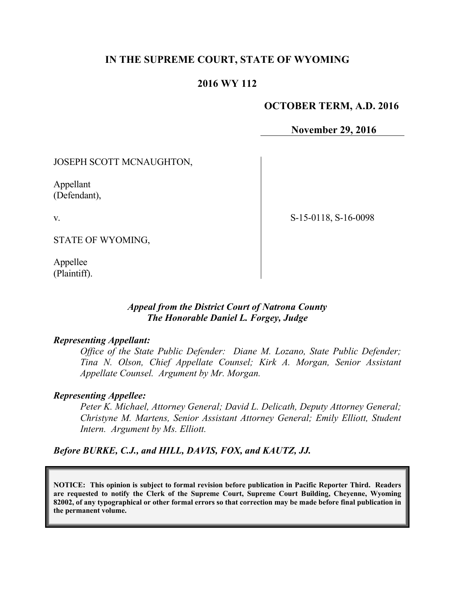# **IN THE SUPREME COURT, STATE OF WYOMING**

# **2016 WY 112**

### **OCTOBER TERM, A.D. 2016**

**November 29, 2016**

JOSEPH SCOTT MCNAUGHTON,

Appellant (Defendant),

v.

S-15-0118, S-16-0098

STATE OF WYOMING,

Appellee (Plaintiff).

# *Appeal from the District Court of Natrona County The Honorable Daniel L. Forgey, Judge*

### *Representing Appellant:*

*Office of the State Public Defender: Diane M. Lozano, State Public Defender; Tina N. Olson, Chief Appellate Counsel; Kirk A. Morgan, Senior Assistant Appellate Counsel. Argument by Mr. Morgan.*

#### *Representing Appellee:*

*Peter K. Michael, Attorney General; David L. Delicath, Deputy Attorney General; Christyne M. Martens, Senior Assistant Attorney General; Emily Elliott, Student Intern. Argument by Ms. Elliott.*

*Before BURKE, C.J., and HILL, DAVIS, FOX, and KAUTZ, JJ.*

**NOTICE: This opinion is subject to formal revision before publication in Pacific Reporter Third. Readers are requested to notify the Clerk of the Supreme Court, Supreme Court Building, Cheyenne, Wyoming 82002, of any typographical or other formal errors so that correction may be made before final publication in the permanent volume.**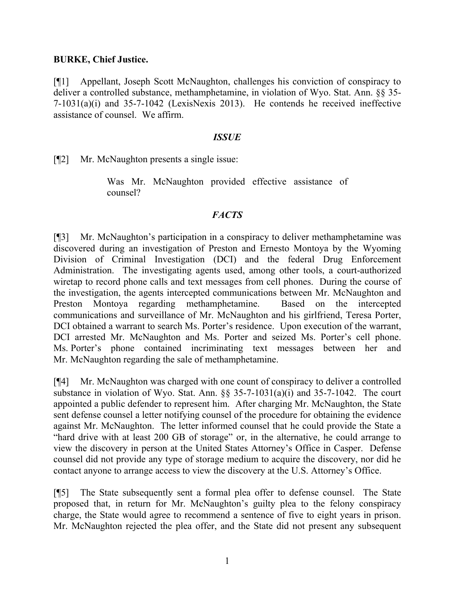### **BURKE, Chief Justice.**

[¶1] Appellant, Joseph Scott McNaughton, challenges his conviction of conspiracy to deliver a controlled substance, methamphetamine, in violation of Wyo. Stat. Ann. §§ 35- 7-1031(a)(i) and 35-7-1042 (LexisNexis 2013). He contends he received ineffective assistance of counsel. We affirm.

### *ISSUE*

[¶2] Mr. McNaughton presents a single issue:

Was Mr. McNaughton provided effective assistance of counsel?

# *FACTS*

[¶3] Mr. McNaughton's participation in a conspiracy to deliver methamphetamine was discovered during an investigation of Preston and Ernesto Montoya by the Wyoming Division of Criminal Investigation (DCI) and the federal Drug Enforcement Administration. The investigating agents used, among other tools, a court-authorized wiretap to record phone calls and text messages from cell phones. During the course of the investigation, the agents intercepted communications between Mr. McNaughton and Preston Montoya regarding methamphetamine. Based on the intercepted communications and surveillance of Mr. McNaughton and his girlfriend, Teresa Porter, DCI obtained a warrant to search Ms. Porter's residence. Upon execution of the warrant, DCI arrested Mr. McNaughton and Ms. Porter and seized Ms. Porter's cell phone. Ms. Porter's phone contained incriminating text messages between her and Mr. McNaughton regarding the sale of methamphetamine.

[¶4] Mr. McNaughton was charged with one count of conspiracy to deliver a controlled substance in violation of Wyo. Stat. Ann. §§ 35-7-1031(a)(i) and 35-7-1042. The court appointed a public defender to represent him. After charging Mr. McNaughton, the State sent defense counsel a letter notifying counsel of the procedure for obtaining the evidence against Mr. McNaughton. The letter informed counsel that he could provide the State a "hard drive with at least 200 GB of storage" or, in the alternative, he could arrange to view the discovery in person at the United States Attorney's Office in Casper. Defense counsel did not provide any type of storage medium to acquire the discovery, nor did he contact anyone to arrange access to view the discovery at the U.S. Attorney's Office.

[¶5] The State subsequently sent a formal plea offer to defense counsel. The State proposed that, in return for Mr. McNaughton's guilty plea to the felony conspiracy charge, the State would agree to recommend a sentence of five to eight years in prison. Mr. McNaughton rejected the plea offer, and the State did not present any subsequent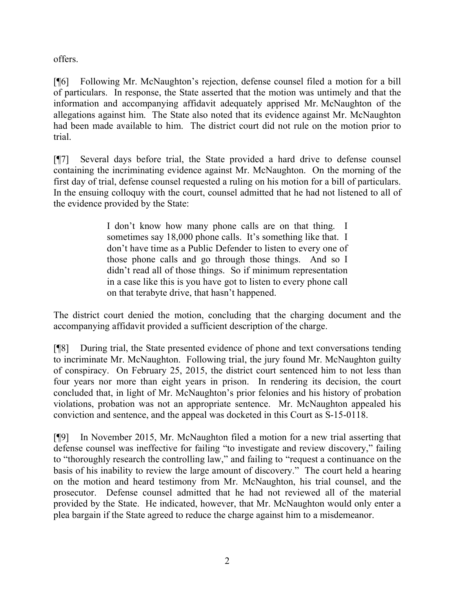offers.

[¶6] Following Mr. McNaughton's rejection, defense counsel filed a motion for a bill of particulars. In response, the State asserted that the motion was untimely and that the information and accompanying affidavit adequately apprised Mr. McNaughton of the allegations against him. The State also noted that its evidence against Mr. McNaughton had been made available to him. The district court did not rule on the motion prior to trial.

[¶7] Several days before trial, the State provided a hard drive to defense counsel containing the incriminating evidence against Mr. McNaughton. On the morning of the first day of trial, defense counsel requested a ruling on his motion for a bill of particulars. In the ensuing colloquy with the court, counsel admitted that he had not listened to all of the evidence provided by the State:

> I don't know how many phone calls are on that thing. I sometimes say 18,000 phone calls. It's something like that. I don't have time as a Public Defender to listen to every one of those phone calls and go through those things. And so I didn't read all of those things. So if minimum representation in a case like this is you have got to listen to every phone call on that terabyte drive, that hasn't happened.

The district court denied the motion, concluding that the charging document and the accompanying affidavit provided a sufficient description of the charge.

[¶8] During trial, the State presented evidence of phone and text conversations tending to incriminate Mr. McNaughton. Following trial, the jury found Mr. McNaughton guilty of conspiracy. On February 25, 2015, the district court sentenced him to not less than four years nor more than eight years in prison. In rendering its decision, the court concluded that, in light of Mr. McNaughton's prior felonies and his history of probation violations, probation was not an appropriate sentence. Mr. McNaughton appealed his conviction and sentence, and the appeal was docketed in this Court as S-15-0118.

[¶9] In November 2015, Mr. McNaughton filed a motion for a new trial asserting that defense counsel was ineffective for failing "to investigate and review discovery," failing to "thoroughly research the controlling law," and failing to "request a continuance on the basis of his inability to review the large amount of discovery." The court held a hearing on the motion and heard testimony from Mr. McNaughton, his trial counsel, and the prosecutor. Defense counsel admitted that he had not reviewed all of the material provided by the State. He indicated, however, that Mr. McNaughton would only enter a plea bargain if the State agreed to reduce the charge against him to a misdemeanor.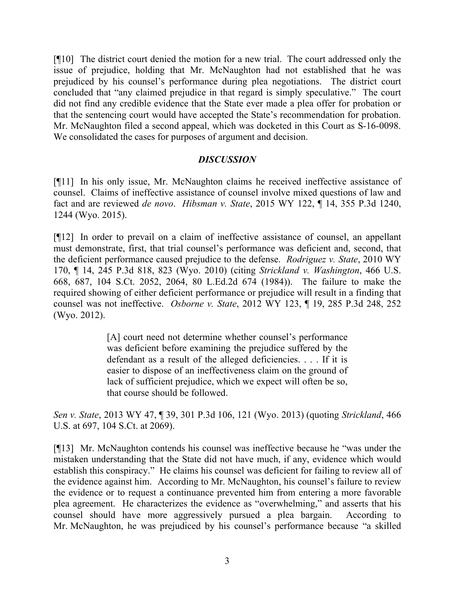[¶10] The district court denied the motion for a new trial. The court addressed only the issue of prejudice, holding that Mr. McNaughton had not established that he was prejudiced by his counsel's performance during plea negotiations. The district court concluded that "any claimed prejudice in that regard is simply speculative." The court did not find any credible evidence that the State ever made a plea offer for probation or that the sentencing court would have accepted the State's recommendation for probation. Mr. McNaughton filed a second appeal, which was docketed in this Court as S-16-0098. We consolidated the cases for purposes of argument and decision.

# *DISCUSSION*

[¶11] In his only issue, Mr. McNaughton claims he received ineffective assistance of counsel. Claims of ineffective assistance of counsel involve mixed questions of law and fact and are reviewed *de novo*. *Hibsman v. State*, 2015 WY 122, ¶ 14, 355 P.3d 1240, 1244 (Wyo. 2015).

[¶12] In order to prevail on a claim of ineffective assistance of counsel, an appellant must demonstrate, first, that trial counsel's performance was deficient and, second, that the deficient performance caused prejudice to the defense. *Rodriguez v. State*, 2010 WY 170, ¶ 14, 245 P.3d 818, 823 (Wyo. 2010) (citing *Strickland v. Washington*, 466 U.S. 668, 687, 104 S.Ct. 2052, 2064, 80 L.Ed.2d 674 (1984)). The failure to make the required showing of either deficient performance or prejudice will result in a finding that counsel was not ineffective. *Osborne v. State*, 2012 WY 123, ¶ 19, 285 P.3d 248, 252 (Wyo. 2012).

> [A] court need not determine whether counsel's performance was deficient before examining the prejudice suffered by the defendant as a result of the alleged deficiencies. . . . If it is easier to dispose of an ineffectiveness claim on the ground of lack of sufficient prejudice, which we expect will often be so, that course should be followed.

*Sen v. State*, 2013 WY 47, ¶ 39, 301 P.3d 106, 121 (Wyo. 2013) (quoting *Strickland*, 466 U.S. at 697, 104 S.Ct. at 2069).

[¶13] Mr. McNaughton contends his counsel was ineffective because he "was under the mistaken understanding that the State did not have much, if any, evidence which would establish this conspiracy." He claims his counsel was deficient for failing to review all of the evidence against him. According to Mr. McNaughton, his counsel's failure to review the evidence or to request a continuance prevented him from entering a more favorable plea agreement. He characterizes the evidence as "overwhelming," and asserts that his counsel should have more aggressively pursued a plea bargain. According to Mr. McNaughton, he was prejudiced by his counsel's performance because "a skilled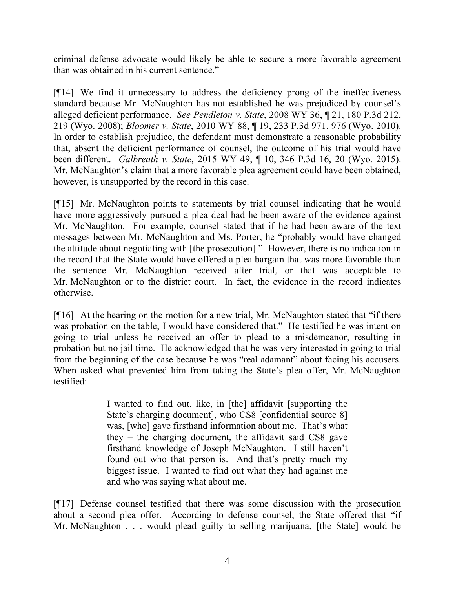criminal defense advocate would likely be able to secure a more favorable agreement than was obtained in his current sentence."

[¶14] We find it unnecessary to address the deficiency prong of the ineffectiveness standard because Mr. McNaughton has not established he was prejudiced by counsel's alleged deficient performance. *See Pendleton v. State*, 2008 WY 36, ¶ 21, 180 P.3d 212, 219 (Wyo. 2008); *Bloomer v. State*, 2010 WY 88, ¶ 19, 233 P.3d 971, 976 (Wyo. 2010). In order to establish prejudice, the defendant must demonstrate a reasonable probability that, absent the deficient performance of counsel, the outcome of his trial would have been different. *Galbreath v. State*, 2015 WY 49, ¶ 10, 346 P.3d 16, 20 (Wyo. 2015). Mr. McNaughton's claim that a more favorable plea agreement could have been obtained, however, is unsupported by the record in this case.

[¶15] Mr. McNaughton points to statements by trial counsel indicating that he would have more aggressively pursued a plea deal had he been aware of the evidence against Mr. McNaughton. For example, counsel stated that if he had been aware of the text messages between Mr. McNaughton and Ms. Porter, he "probably would have changed the attitude about negotiating with [the prosecution]." However, there is no indication in the record that the State would have offered a plea bargain that was more favorable than the sentence Mr. McNaughton received after trial, or that was acceptable to Mr. McNaughton or to the district court. In fact, the evidence in the record indicates otherwise.

[¶16] At the hearing on the motion for a new trial, Mr. McNaughton stated that "if there was probation on the table, I would have considered that." He testified he was intent on going to trial unless he received an offer to plead to a misdemeanor, resulting in probation but no jail time. He acknowledged that he was very interested in going to trial from the beginning of the case because he was "real adamant" about facing his accusers. When asked what prevented him from taking the State's plea offer, Mr. McNaughton testified:

> I wanted to find out, like, in [the] affidavit [supporting the State's charging document], who CS8 [confidential source 8] was, [who] gave firsthand information about me. That's what they – the charging document, the affidavit said CS8 gave firsthand knowledge of Joseph McNaughton. I still haven't found out who that person is. And that's pretty much my biggest issue. I wanted to find out what they had against me and who was saying what about me.

[¶17] Defense counsel testified that there was some discussion with the prosecution about a second plea offer. According to defense counsel, the State offered that "if Mr. McNaughton . . . would plead guilty to selling marijuana, [the State] would be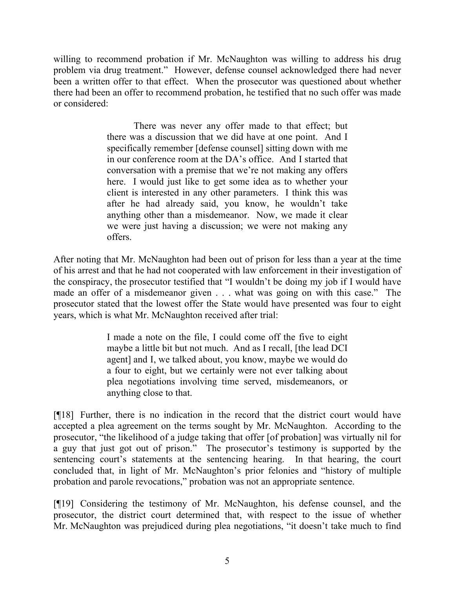willing to recommend probation if Mr. McNaughton was willing to address his drug problem via drug treatment." However, defense counsel acknowledged there had never been a written offer to that effect. When the prosecutor was questioned about whether there had been an offer to recommend probation, he testified that no such offer was made or considered:

> There was never any offer made to that effect; but there was a discussion that we did have at one point. And I specifically remember [defense counsel] sitting down with me in our conference room at the DA's office. And I started that conversation with a premise that we're not making any offers here. I would just like to get some idea as to whether your client is interested in any other parameters. I think this was after he had already said, you know, he wouldn't take anything other than a misdemeanor. Now, we made it clear we were just having a discussion; we were not making any offers.

After noting that Mr. McNaughton had been out of prison for less than a year at the time of his arrest and that he had not cooperated with law enforcement in their investigation of the conspiracy, the prosecutor testified that "I wouldn't be doing my job if I would have made an offer of a misdemeanor given . . . what was going on with this case." The prosecutor stated that the lowest offer the State would have presented was four to eight years, which is what Mr. McNaughton received after trial:

> I made a note on the file, I could come off the five to eight maybe a little bit but not much. And as I recall, [the lead DCI agent] and I, we talked about, you know, maybe we would do a four to eight, but we certainly were not ever talking about plea negotiations involving time served, misdemeanors, or anything close to that.

[¶18] Further, there is no indication in the record that the district court would have accepted a plea agreement on the terms sought by Mr. McNaughton. According to the prosecutor, "the likelihood of a judge taking that offer [of probation] was virtually nil for a guy that just got out of prison." The prosecutor's testimony is supported by the sentencing court's statements at the sentencing hearing. In that hearing, the court concluded that, in light of Mr. McNaughton's prior felonies and "history of multiple probation and parole revocations," probation was not an appropriate sentence.

[¶19] Considering the testimony of Mr. McNaughton, his defense counsel, and the prosecutor, the district court determined that, with respect to the issue of whether Mr. McNaughton was prejudiced during plea negotiations, "it doesn't take much to find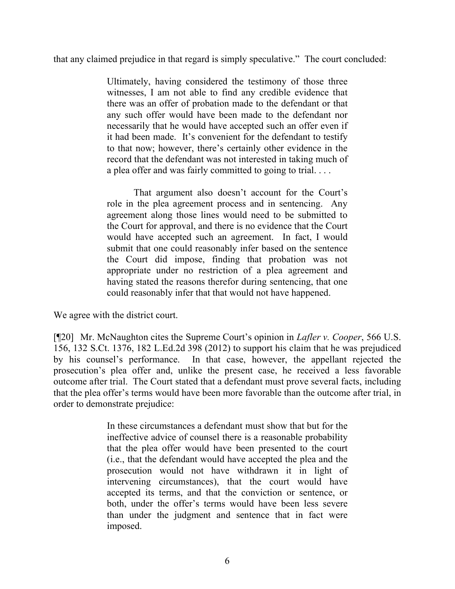that any claimed prejudice in that regard is simply speculative." The court concluded:

Ultimately, having considered the testimony of those three witnesses, I am not able to find any credible evidence that there was an offer of probation made to the defendant or that any such offer would have been made to the defendant nor necessarily that he would have accepted such an offer even if it had been made. It's convenient for the defendant to testify to that now; however, there's certainly other evidence in the record that the defendant was not interested in taking much of a plea offer and was fairly committed to going to trial. . . .

That argument also doesn't account for the Court's role in the plea agreement process and in sentencing. Any agreement along those lines would need to be submitted to the Court for approval, and there is no evidence that the Court would have accepted such an agreement. In fact, I would submit that one could reasonably infer based on the sentence the Court did impose, finding that probation was not appropriate under no restriction of a plea agreement and having stated the reasons therefor during sentencing, that one could reasonably infer that that would not have happened.

We agree with the district court.

[¶20] Mr. McNaughton cites the Supreme Court's opinion in *Lafler v. Cooper*, 566 U.S. 156, 132 S.Ct. 1376, 182 L.Ed.2d 398 (2012) to support his claim that he was prejudiced by his counsel's performance. In that case, however, the appellant rejected the prosecution's plea offer and, unlike the present case, he received a less favorable outcome after trial. The Court stated that a defendant must prove several facts, including that the plea offer's terms would have been more favorable than the outcome after trial, in order to demonstrate prejudice:

> In these circumstances a defendant must show that but for the ineffective advice of counsel there is a reasonable probability that the plea offer would have been presented to the court (i.e., that the defendant would have accepted the plea and the prosecution would not have withdrawn it in light of intervening circumstances), that the court would have accepted its terms, and that the conviction or sentence, or both, under the offer's terms would have been less severe than under the judgment and sentence that in fact were imposed.